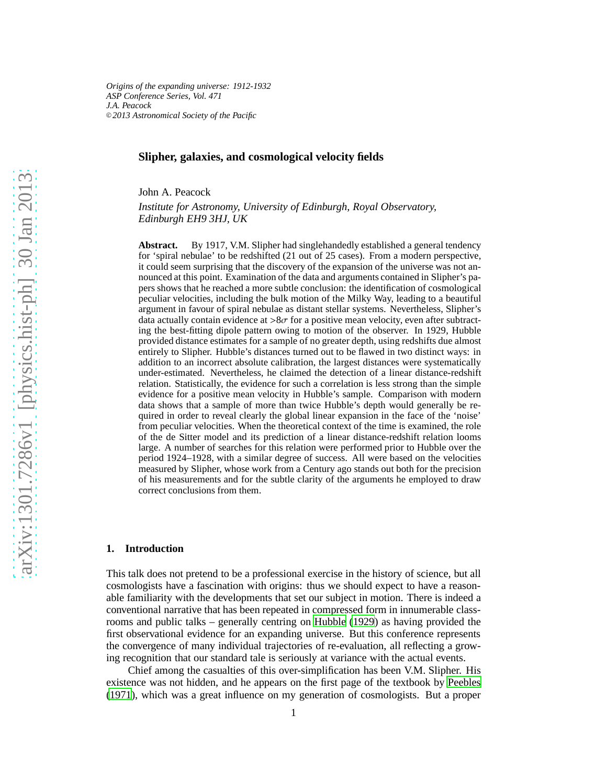*Origins of the expanding universe: 1912-1932 ASP Conference Series, Vol. 471 J.A. Peacock* <sup>c</sup> *2013 Astronomical Society of the Pacific*

## **Slipher, galaxies, and cosmological velocity fields**

John A. Peacock

*Institute for Astronomy, University of Edinburgh, Royal Observatory, Edinburgh EH9 3HJ, UK*

**Abstract.** By 1917, V.M. Slipher had singlehandedly established a general tendency for 'spiral nebulae' to be redshifted (21 out of 25 cases). From a modern perspective, it could seem surprising that the discovery of the expansion of the universe was not announced at this point. Examination of the data and arguments contained in Slipher's papers shows that he reached a more subtle conclusion: the identification of cosmological peculiar velocities, including the bulk motion of the Milky Way, leading to a beautiful argument in favour of spiral nebulae as distant stellar systems. Nevertheless, Slipher's data actually contain evidence at  $>8\sigma$  for a positive mean velocity, even after subtracting the best-fitting dipole pattern owing to motion of the observer. In 1929, Hubble provided distance estimates for a sample of no greater depth, using redshifts due almost entirely to Slipher. Hubble's distances turned out to be flawed in two distinct ways: in addition to an incorrect absolute calibration, the largest distances were systematically under-estimated. Nevertheless, he claimed the detection of a linear distance-redshift relation. Statistically, the evidence for such a correlation is less strong than the simple evidence for a positive mean velocity in Hubble's sample. Comparison with modern data shows that a sample of more than twice Hubble's depth would generally be required in order to reveal clearly the global linear expansion in the face of the 'noise' from peculiar velocities. When the theoretical context of the time is examined, the role of the de Sitter model and its prediction of a linear distance-redshift relation looms large. A number of searches for this relation were performed prior to Hubble over the period 1924–1928, with a similar degree of success. All were based on the velocities measured by Slipher, whose work from a Century ago stands out both for the precision of his measurements and for the subtle clarity of the arguments he employed to draw correct conclusions from them.

### **1. Introduction**

This talk does not pretend to be a professional exercise in the history of science, but all cosmologists have a fascination with origins: thus we should expect to have a reasonable familiarity with the developments that set our subject in motion. There is indeed a conventional narrative that has been repeated in compressed form in innumerable classrooms and public talks – generally centring on [Hubble \(1929\)](#page-19-0) as having provided the first observational evidence for an expanding universe. But this conference represents the convergence of many individual trajectories of re-evaluation, all reflecting a growing recognition that our standard tale is seriously at variance with the actual events.

Chief among the casualties of this over-simplification has been V.M. Slipher. His existence was not hidden, and he appears on the first page of the textbook by [Peebles](#page-19-1) [\(1971](#page-19-1)), which was a great influence on my generation of cosmologists. But a proper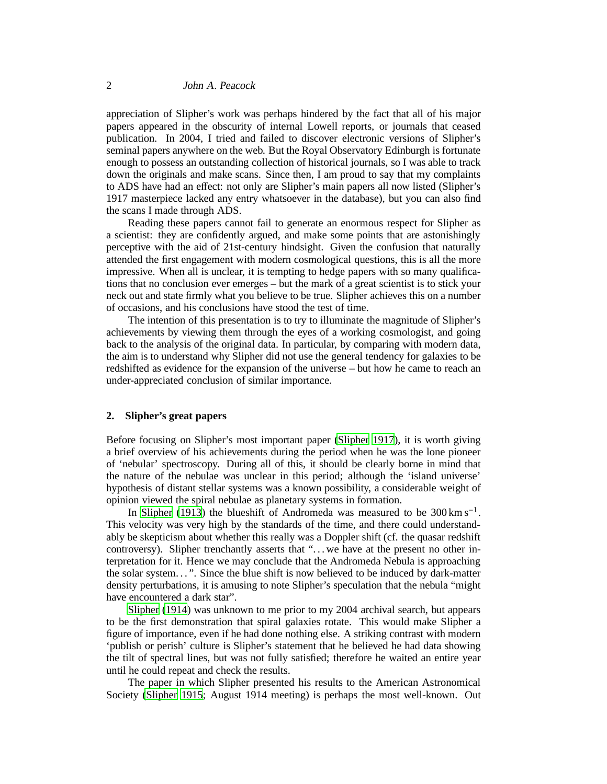appreciation of Slipher's work was perhaps hindered by the fact that all of his major papers appeared in the obscurity of internal Lowell reports, or journals that ceased publication. In 2004, I tried and failed to discover electronic versions of Slipher's seminal papers anywhere on the web. But the Royal Observatory Edinburgh is fortunate enough to possess an outstanding collection of historical journals, so I was able to track down the originals and make scans. Since then, I am proud to say that my complaints to ADS have had an effect: not only are Slipher's main papers all now listed (Slipher's 1917 masterpiece lacked any entry whatsoever in the database), but you can also find the scans I made through ADS.

Reading these papers cannot fail to generate an enormous respect for Slipher as a scientist: they are confidently argued, and make some points that are astonishingly perceptive with the aid of 21st-century hindsight. Given the confusion that naturally attended the first engagement with modern cosmological questions, this is all the more impressive. When all is unclear, it is tempting to hedge papers with so many qualifications that no conclusion ever emerges – but the mark of a great scientist is to stick your neck out and state firmly what you believe to be true. Slipher achieves this on a number of occasions, and his conclusions have stood the test of time.

The intention of this presentation is to try to illuminate the magnitude of Slipher's achievements by viewing them through the eyes of a working cosmologist, and going back to the analysis of the original data. In particular, by comparing with modern data, the aim is to understand why Slipher did not use the general tendency for galaxies to be redshifted as evidence for the expansion of the universe – but how he came to reach an under-appreciated conclusion of similar importance.

# **2. Slipher's great papers**

Before focusing on Slipher's most important paper [\(Slipher](#page-20-0) [1917\)](#page-20-0), it is worth giving a brief overview of his achievements during the period when he was the lone pioneer of 'nebular' spectroscopy. During all of this, it should be clearly borne in mind that the nature of the nebulae was unclear in this period; although the 'island universe' hypothesis of distant stellar systems was a known possibility, a considerable weight of opinion viewed the spiral nebulae as planetary systems in formation.

In [Slipher](#page-19-2) [\(1913](#page-19-2)) the blueshift of Andromeda was measured to be  $300 \text{ km s}^{-1}$ . This velocity was very high by the standards of the time, and there could understandably be skepticism about whether this really was a Doppler shift (cf. the quasar redshift controversy). Slipher trenchantly asserts that "... we have at the present no other interpretation for it. Hence we may conclude that the Andromeda Nebula is approaching the solar system. . . ". Since the blue shift is now believed to be induced by dark-matter density perturbations, it is amusing to note Slipher's speculation that the nebula "might have encountered a dark star".

[Slipher \(1914\)](#page-19-3) was unknown to me prior to my 2004 archival search, but appears to be the first demonstration that spiral galaxies rotate. This would make Slipher a figure of importance, even if he had done nothing else. A striking contrast with modern 'publish or perish' culture is Slipher's statement that he believed he had data showing the tilt of spectral lines, but was not fully satisfied; therefore he waited an entire year until he could repeat and check the results.

The paper in which Slipher presented his results to the American Astronomical Society [\(Slipher 1915;](#page-20-1) August 1914 meeting) is perhaps the most well-known. Out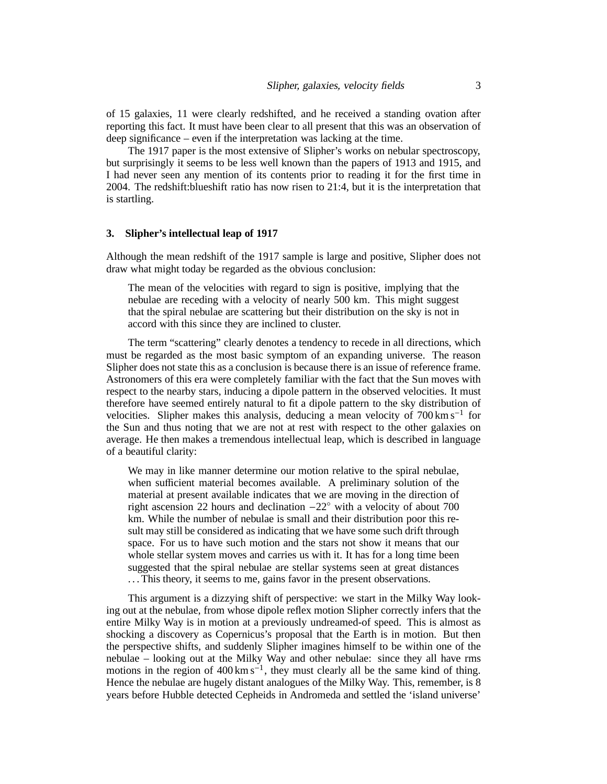of 15 galaxies, 11 were clearly redshifted, and he received a standing ovation after reporting this fact. It must have been clear to all present that this was an observation of deep significance – even if the interpretation was lacking at the time.

The 1917 paper is the most extensive of Slipher's works on nebular spectroscopy, but surprisingly it seems to be less well known than the papers of 1913 and 1915, and I had never seen any mention of its contents prior to reading it for the first time in 2004. The redshift:blueshift ratio has now risen to 21:4, but it is the interpretation that is startling.

### **3. Slipher's intellectual leap of 1917**

Although the mean redshift of the 1917 sample is large and positive, Slipher does not draw what might today be regarded as the obvious conclusion:

The mean of the velocities with regard to sign is positive, implying that the nebulae are receding with a velocity of nearly 500 km. This might suggest that the spiral nebulae are scattering but their distribution on the sky is not in accord with this since they are inclined to cluster.

The term "scattering" clearly denotes a tendency to recede in all directions, which must be regarded as the most basic symptom of an expanding universe. The reason Slipher does not state this as a conclusion is because there is an issue of reference frame. Astronomers of this era were completely familiar with the fact that the Sun moves with respect to the nearby stars, inducing a dipole pattern in the observed velocities. It must therefore have seemed entirely natural to fit a dipole pattern to the sky distribution of velocities. Slipher makes this analysis, deducing a mean velocity of 700 km s−<sup>1</sup> for the Sun and thus noting that we are not at rest with respect to the other galaxies on average. He then makes a tremendous intellectual leap, which is described in language of a beautiful clarity:

We may in like manner determine our motion relative to the spiral nebulae, when sufficient material becomes available. A preliminary solution of the material at present available indicates that we are moving in the direction of right ascension 22 hours and declination −22◦ with a velocity of about 700 km. While the number of nebulae is small and their distribution poor this result may still be considered as indicating that we have some such drift through space. For us to have such motion and the stars not show it means that our whole stellar system moves and carries us with it. It has for a long time been suggested that the spiral nebulae are stellar systems seen at great distances . . . This theory, it seems to me, gains favor in the present observations.

This argument is a dizzying shift of perspective: we start in the Milky Way looking out at the nebulae, from whose dipole reflex motion Slipher correctly infers that the entire Milky Way is in motion at a previously undreamed-of speed. This is almost as shocking a discovery as Copernicus's proposal that the Earth is in motion. But then the perspective shifts, and suddenly Slipher imagines himself to be within one of the nebulae – looking out at the Milky Way and other nebulae: since they all have rms motions in the region of  $400 \text{ km s}^{-1}$ , they must clearly all be the same kind of thing. Hence the nebulae are hugely distant analogues of the Milky Way. This, remember, is 8 years before Hubble detected Cepheids in Andromeda and settled the 'island universe'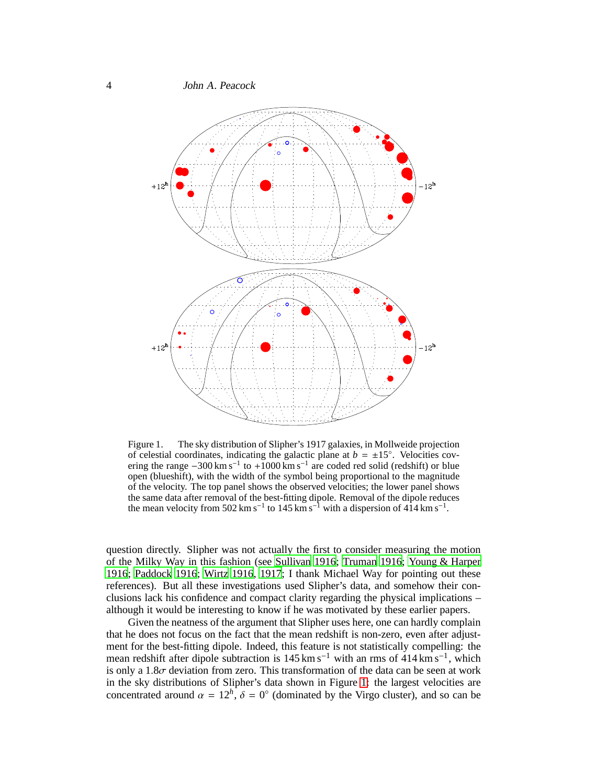

<span id="page-3-0"></span>Figure 1. The sky distribution of Slipher's 1917 galaxies, in Mollweide projection of celestial coordinates, indicating the galactic plane at  $b = \pm 15^\circ$ . Velocities covering the range  $-300 \text{ km s}^{-1}$  to  $+1000 \text{ km s}^{-1}$  are coded red solid (redshift) or blue open (blueshift), with the width of the symbol being proportional to the magnitude of the velocity. The top panel shows the observed velocities; the lower panel shows the same data after removal of the best-fitting dipole. Removal of the dipole reduces the mean velocity from 502 km s<sup>-1</sup> to 145 km s<sup>-1</sup> with a dispersion of 414 km s<sup>-1</sup>.

question directly. Slipher was not actually the first to consider measuring the motion of the Milky Way in this fashion (see [Sullivan 1916](#page-20-2); [Truman 1916](#page-20-3); [Young & Harper](#page-20-4) [1916](#page-20-4); [Paddock 1916;](#page-19-4) [Wirtz 1916,](#page-20-5) [1917](#page-20-6); I thank Michael Way for pointing out these references). But all these investigations used Slipher's data, and somehow their conclusions lack his confidence and compact clarity regarding the physical implications – although it would be interesting to know if he was motivated by these earlier papers.

Given the neatness of the argument that Slipher uses here, one can hardly complain that he does not focus on the fact that the mean redshift is non-zero, even after adjustment for the best-fitting dipole. Indeed, this feature is not statistically compelling: the mean redshift after dipole subtraction is  $145 \text{ km s}^{-1}$  with an rms of  $414 \text{ km s}^{-1}$ , which is only a  $1.8\sigma$  deviation from zero. This transformation of the data can be seen at work in the sky distributions of Slipher's data shown in Figure [1:](#page-3-0) the largest velocities are concentrated around  $\alpha = 12^h$ ,  $\delta = 0^\circ$  (dominated by the Virgo cluster), and so can be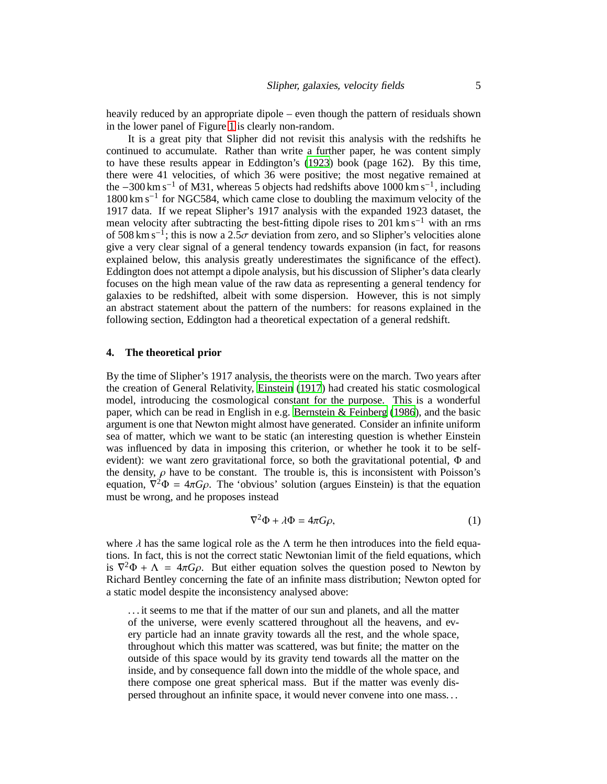heavily reduced by an appropriate dipole – even though the pattern of residuals shown in the lower panel of Figure [1](#page-3-0) is clearly non-random.

It is a great pity that Slipher did not revisit this analysis with the redshifts he continued to accumulate. Rather than write a further paper, he was content simply to have these results appear in Eddington's [\(1923](#page-19-5)) book (page 162). By this time, there were 41 velocities, of which 36 were positive; the most negative remained at the  $-300 \text{ km s}^{-1}$  of M31, whereas 5 objects had redshifts above 1000 km s<sup>-1</sup>, including 1800 km s−<sup>1</sup> for NGC584, which came close to doubling the maximum velocity of the 1917 data. If we repeat Slipher's 1917 analysis with the expanded 1923 dataset, the mean velocity after subtracting the best-fitting dipole rises to 201 km s<sup> $-1$ </sup> with an rms of 508 km s<sup>-1</sup>; this is now a 2.5 $\sigma$  deviation from zero, and so Slipher's velocities alone give a very clear signal of a general tendency towards expansion (in fact, for reasons explained below, this analysis greatly underestimates the significance of the effect). Eddington does not attempt a dipole analysis, but his discussion of Slipher's data clearly focuses on the high mean value of the raw data as representing a general tendency for galaxies to be redshifted, albeit with some dispersion. However, this is not simply an abstract statement about the pattern of the numbers: for reasons explained in the following section, Eddington had a theoretical expectation of a general redshift.

# **4. The theoretical prior**

By the time of Slipher's 1917 analysis, the theorists were on the march. Two years after the creation of General Relativity, [Einstein](#page-19-6) [\(1917](#page-19-6)) had created his static cosmological model, introducing the cosmological constant for the purpose. This is a wonderful paper, which can be read in English in e.g. [Bernstein & Feinberg \(1986](#page-18-0)), and the basic argument is one that Newton might almost have generated. Consider an infinite uniform sea of matter, which we want to be static (an interesting question is whether Einstein was influenced by data in imposing this criterion, or whether he took it to be selfevident): we want zero gravitational force, so both the gravitational potential, Φ and the density,  $\rho$  have to be constant. The trouble is, this is inconsistent with Poisson's equation,  $\nabla^2 \Phi = 4\pi G \rho$ . The 'obvious' solution (argues Einstein) is that the equation must be wrong, and he proposes instead

$$
\nabla^2 \Phi + \lambda \Phi = 4\pi G \rho, \tag{1}
$$

where  $\lambda$  has the same logical role as the  $\Lambda$  term he then introduces into the field equations. In fact, this is not the correct static Newtonian limit of the field equations, which is  $\nabla^2 \Phi + \Lambda = 4\pi G \rho$ . But either equation solves the question posed to Newton by Richard Bentley concerning the fate of an infinite mass distribution; Newton opted for a static model despite the inconsistency analysed above:

. . . it seems to me that if the matter of our sun and planets, and all the matter of the universe, were evenly scattered throughout all the heavens, and every particle had an innate gravity towards all the rest, and the whole space, throughout which this matter was scattered, was but finite; the matter on the outside of this space would by its gravity tend towards all the matter on the inside, and by consequence fall down into the middle of the whole space, and there compose one great spherical mass. But if the matter was evenly dispersed throughout an infinite space, it would never convene into one mass. . .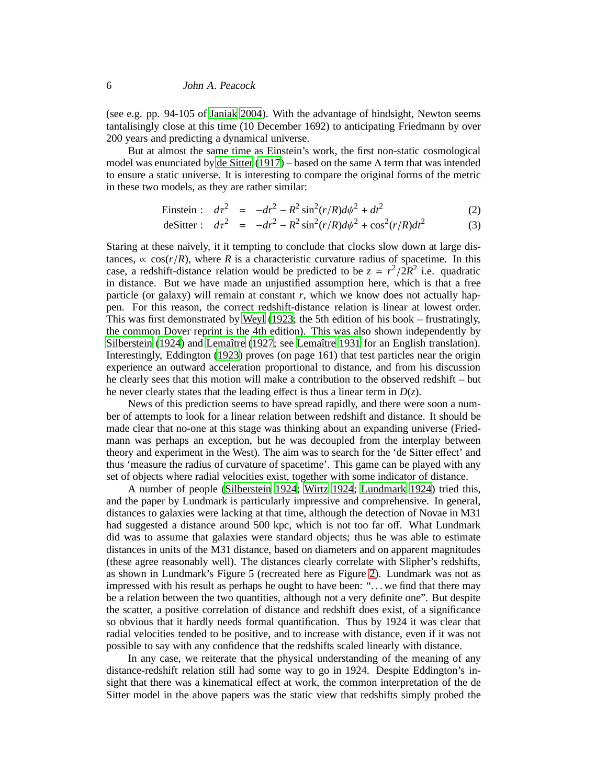(see e.g. pp. 94-105 of [Janiak 2004](#page-19-7)). With the advantage of hindsight, Newton seems tantalisingly close at this time (10 December 1692) to anticipating Friedmann by over 200 years and predicting a dynamical universe.

But at almost the same time as Einstein's work, the first non-static cosmological model was enunciated by [de Sitter \(1917](#page-18-1)) – based on the same Λ term that was intended to ensure a static universe. It is interesting to compare the original forms of the metric in these two models, as they are rather similar:

Einstein : 
$$
d\tau^2 = -dr^2 - R^2 \sin^2(r/R) d\psi^2 + dt^2
$$
 (2)

$$
deSitter: d\tau^2 = -dr^2 - R^2 \sin^2(r/R) d\psi^2 + \cos^2(r/R) dt^2
$$
 (3)

Staring at these naively, it it tempting to conclude that clocks slow down at large distances,  $\propto \cos(r/R)$ , where *R* is a characteristic curvature radius of spacetime. In this case, a redshift-distance relation would be predicted to be  $z \approx r^2/2R^2$  i.e. quadratic in distance. But we have made an unjustified assumption here, which is that a free particle (or galaxy) will remain at constant  $r$ , which we know does not actually happen. For this reason, the correct redshift-distance relation is linear at lowest order. This was first demonstrated by [Weyl \(1923;](#page-20-7) the 5th edition of his book – frustratingly, the common Dover reprint is the 4th edition). This was also shown independently by [Silberstein](#page-19-8) [\(1924](#page-19-8)) and Lemaître (1927; see Lemaître 1931 for an English translation). Interestingly, Eddington [\(1923](#page-19-5)) proves (on page 161) that test particles near the origin experience an outward acceleration proportional to distance, and from his discussion he clearly sees that this motion will make a contribution to the observed redshift – but he never clearly states that the leading effect is thus a linear term in  $D(z)$ .

News of this prediction seems to have spread rapidly, and there were soon a number of attempts to look for a linear relation between redshift and distance. It should be made clear that no-one at this stage was thinking about an expanding universe (Friedmann was perhaps an exception, but he was decoupled from the interplay between theory and experiment in the West). The aim was to search for the 'de Sitter effect' and thus 'measure the radius of curvature of spacetime'. This game can be played with any set of objects where radial velocities exist, together with some indicator of distance.

A number of people [\(Silberstein 1924](#page-19-8); [Wirtz 1924](#page-20-8); [Lundmark 1924](#page-19-11)) tried this, and the paper by Lundmark is particularly impressive and comprehensive. In general, distances to galaxies were lacking at that time, although the detection of Novae in M31 had suggested a distance around 500 kpc, which is not too far off. What Lundmark did was to assume that galaxies were standard objects; thus he was able to estimate distances in units of the M31 distance, based on diameters and on apparent magnitudes (these agree reasonably well). The distances clearly correlate with Slipher's redshifts, as shown in Lundmark's Figure 5 (recreated here as Figure [2\)](#page-6-0). Lundmark was not as impressed with his result as perhaps he ought to have been: ". . . we find that there may be a relation between the two quantities, although not a very definite one". But despite the scatter, a positive correlation of distance and redshift does exist, of a significance so obvious that it hardly needs formal quantification. Thus by 1924 it was clear that radial velocities tended to be positive, and to increase with distance, even if it was not possible to say with any confidence that the redshifts scaled linearly with distance.

In any case, we reiterate that the physical understanding of the meaning of any distance-redshift relation still had some way to go in 1924. Despite Eddington's insight that there was a kinematical effect at work, the common interpretation of the de Sitter model in the above papers was the static view that redshifts simply probed the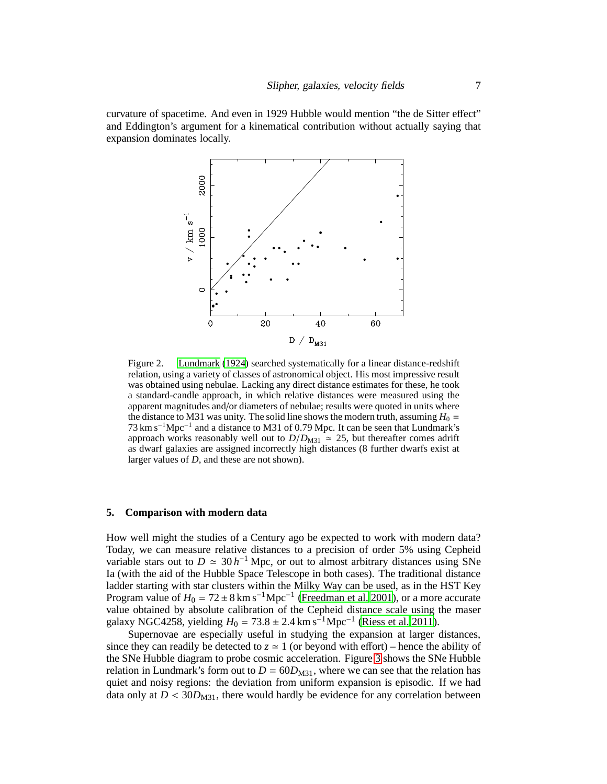curvature of spacetime. And even in 1929 Hubble would mention "the de Sitter effect" and Eddington's argument for a kinematical contribution without actually saying that expansion dominates locally.



<span id="page-6-0"></span>Figure 2. [Lundmark](#page-19-11) [\(1924\)](#page-19-11) searched systematically for a linear distance-redshift relation, using a variety of classes of astronomical object. His most impressive result was obtained using nebulae. Lacking any direct distance estimates for these, he took a standard-candle approach, in which relative distances were measured using the apparent magnitudes and/or diameters of nebulae; results were quoted in units where the distance to M31 was unity. The solid line shows the modern truth, assuming  $H_0 =$ 73 km s−1Mpc−<sup>1</sup> and a distance to M31 of 0.79 Mpc. It can be seen that Lundmark's approach works reasonably well out to  $D/D_{\text{M31}} \approx 25$ , but thereafter comes adrift as dwarf galaxies are assigned incorrectly high distances (8 further dwarfs exist at larger values of *D*, and these are not shown).

# **5. Comparison with modern data**

How well might the studies of a Century ago be expected to work with modern data? Today, we can measure relative distances to a precision of order 5% using Cepheid variable stars out to  $D \approx 30 h^{-1}$  Mpc, or out to almost arbitrary distances using SNe Ia (with the aid of the Hubble Space Telescope in both cases). The traditional distance ladder starting with star clusters within the Milky Way can be used, as in the HST Key Program value of  $H_0 = 72 \pm 8 \text{ km s}^{-1} \text{Mpc}^{-1}$  [\(Freedman et al. 2001](#page-19-12)), or a more accurate value obtained by absolute calibration of the Cepheid distance scale using the maser galaxy NGC4258, yielding  $H_0 = 73.8 \pm 2.4 \text{ km s}^{-1} \text{ Mpc}^{-1}$  [\(Riess et al. 2011](#page-19-13)).

Supernovae are especially useful in studying the expansion at larger distances, since they can readily be detected to  $z \approx 1$  (or beyond with effort) – hence the ability of the SNe Hubble diagram to probe cosmic acceleration. Figure [3](#page-7-0) shows the SNe Hubble relation in Lundmark's form out to  $D = 60D_{M31}$ , where we can see that the relation has quiet and noisy regions: the deviation from uniform expansion is episodic. If we had data only at  $D < 30D_{M31}$ , there would hardly be evidence for any correlation between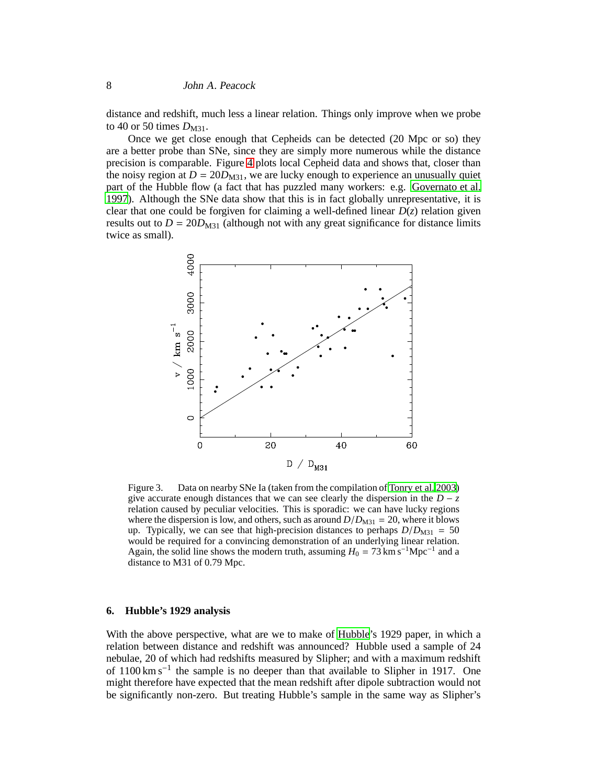distance and redshift, much less a linear relation. Things only improve when we probe to 40 or 50 times  $D_{M31}$ .

Once we get close enough that Cepheids can be detected (20 Mpc or so) they are a better probe than SNe, since they are simply more numerous while the distance precision is comparable. Figure [4](#page-8-0) plots local Cepheid data and shows that, closer than the noisy region at  $D = 20D_{M31}$ , we are lucky enough to experience an unusually quiet part of the Hubble flow (a fact that has puzzled many workers: e.g. [Governato et al.](#page-19-14) [1997](#page-19-14)). Although the SNe data show that this is in fact globally unrepresentative, it is clear that one could be forgiven for claiming a well-defined linear  $D(z)$  relation given results out to  $D = 20D_{M31}$  (although not with any great significance for distance limits twice as small).



<span id="page-7-0"></span>Figure 3. Data on nearby SNe Ia (taken from the compilation of [Tonry et al. 2003](#page-20-9)) give accurate enough distances that we can see clearly the dispersion in the  $D - z$ relation caused by peculiar velocities. This is sporadic: we can have lucky regions where the dispersion is low, and others, such as around  $D/D_{M31} = 20$ , where it blows up. Typically, we can see that high-precision distances to perhaps  $D/D_{M31} = 50$ would be required for a convincing demonstration of an underlying linear relation. Again, the solid line shows the modern truth, assuming  $H_0 = 73 \text{ km s}^{-1} \text{Mpc}^{-1}$  and a distance to M31 of 0.79 Mpc.

### **6. Hubble's 1929 analysis**

With the above perspective, what are we to make of [Hubble](#page-19-0)'s 1929 paper, in which a relation between distance and redshift was announced? Hubble used a sample of 24 nebulae, 20 of which had redshifts measured by Slipher; and with a maximum redshift of 1100 km s<sup>-1</sup> the sample is no deeper than that available to Slipher in 1917. One might therefore have expected that the mean redshift after dipole subtraction would not be significantly non-zero. But treating Hubble's sample in the same way as Slipher's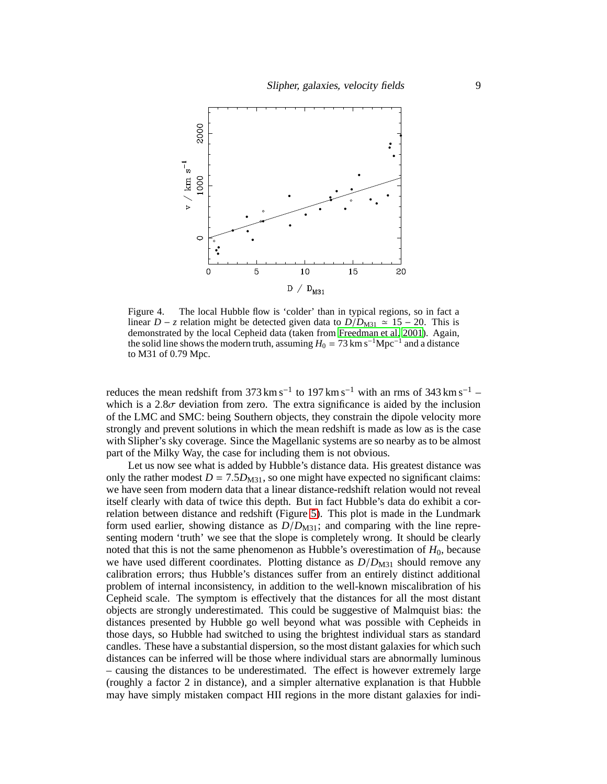

<span id="page-8-0"></span>Figure 4. The local Hubble flow is 'colder' than in typical regions, so in fact a linear *D* − *z* relation might be detected given data to  $D/D_{M31} \approx 15 - 20$ . This is demonstrated by the local Cepheid data (taken from [Freedman](#page-19-12) et al. [2001\)](#page-19-12). Again, the solid line shows the modern truth, assuming  $H_0 = 73 \text{ km s}^{-1} \text{Mpc}^{-1}$  and a distance to M31 of 0.79 Mpc.

reduces the mean redshift from 373 km s<sup>-1</sup> to 197 km s<sup>-1</sup> with an rms of 343 km s<sup>-1</sup> – which is a  $2.8\sigma$  deviation from zero. The extra significance is aided by the inclusion of the LMC and SMC: being Southern objects, they constrain the dipole velocity more strongly and prevent solutions in which the mean redshift is made as low as is the case with Slipher's sky coverage. Since the Magellanic systems are so nearby as to be almost part of the Milky Way, the case for including them is not obvious.

Let us now see what is added by Hubble's distance data. His greatest distance was only the rather modest  $D = 7.5D_{M31}$ , so one might have expected no significant claims: we have seen from modern data that a linear distance-redshift relation would not reveal itself clearly with data of twice this depth. But in fact Hubble's data do exhibit a correlation between distance and redshift (Figure [5\)](#page-9-0). This plot is made in the Lundmark form used earlier, showing distance as  $D/D_{\text{M31}}$ ; and comparing with the line representing modern 'truth' we see that the slope is completely wrong. It should be clearly noted that this is not the same phenomenon as Hubble's overestimation of *H*0, because we have used different coordinates. Plotting distance as  $D/D_{M31}$  should remove any calibration errors; thus Hubble's distances suffer from an entirely distinct additional problem of internal inconsistency, in addition to the well-known miscalibration of his Cepheid scale. The symptom is effectively that the distances for all the most distant objects are strongly underestimated. This could be suggestive of Malmquist bias: the distances presented by Hubble go well beyond what was possible with Cepheids in those days, so Hubble had switched to using the brightest individual stars as standard candles. These have a substantial dispersion, so the most distant galaxies for which such distances can be inferred will be those where individual stars are abnormally luminous – causing the distances to be underestimated. The effect is however extremely large (roughly a factor 2 in distance), and a simpler alternative explanation is that Hubble may have simply mistaken compact HII regions in the more distant galaxies for indi-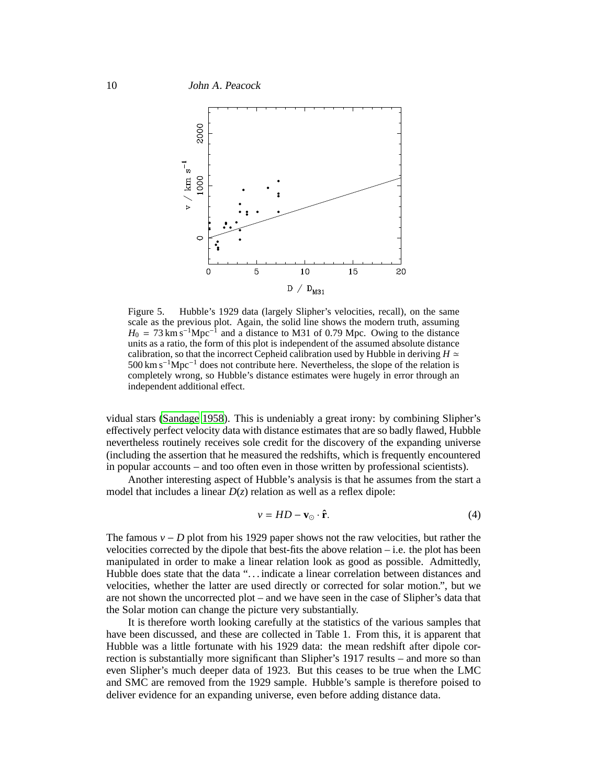

<span id="page-9-0"></span>Figure 5. Hubble's 1929 data (largely Slipher's velocities, recall), on the same scale as the previous plot. Again, the solid line shows the modern truth, assuming  $H_0 = 73 \text{ km s}^{-1} \text{Mpc}^{-1}$  and a distance to M31 of 0.79 Mpc. Owing to the distance units as a ratio, the form of this plot is independent of the assumed absolute distance calibration, so that the incorrect Cepheid calibration used by Hubble in deriving  $H \simeq$ 500 km s−1Mpc−<sup>1</sup> does not contribute here. Nevertheless, the slope of the relation is completely wrong, so Hubble's distance estimates were hugely in error through an independent additional effect.

vidual stars [\(Sandage 1958\)](#page-19-15). This is undeniably a great irony: by combining Slipher's effectively perfect velocity data with distance estimates that are so badly flawed, Hubble nevertheless routinely receives sole credit for the discovery of the expanding universe (including the assertion that he measured the redshifts, which is frequently encountered in popular accounts – and too often even in those written by professional scientists).

Another interesting aspect of Hubble's analysis is that he assumes from the start a model that includes a linear  $D(z)$  relation as well as a reflex dipole:

$$
v = HD - \mathbf{v}_{\odot} \cdot \hat{\mathbf{r}}.\tag{4}
$$

The famous  $v - D$  plot from his 1929 paper shows not the raw velocities, but rather the velocities corrected by the dipole that best-fits the above relation  $-$  i.e. the plot has been manipulated in order to make a linear relation look as good as possible. Admittedly, Hubble does state that the data "... indicate a linear correlation between distances and velocities, whether the latter are used directly or corrected for solar motion.", but we are not shown the uncorrected plot – and we have seen in the case of Slipher's data that the Solar motion can change the picture very substantially.

It is therefore worth looking carefully at the statistics of the various samples that have been discussed, and these are collected in Table 1. From this, it is apparent that Hubble was a little fortunate with his 1929 data: the mean redshift after dipole correction is substantially more significant than Slipher's 1917 results – and more so than even Slipher's much deeper data of 1923. But this ceases to be true when the LMC and SMC are removed from the 1929 sample. Hubble's sample is therefore poised to deliver evidence for an expanding universe, even before adding distance data.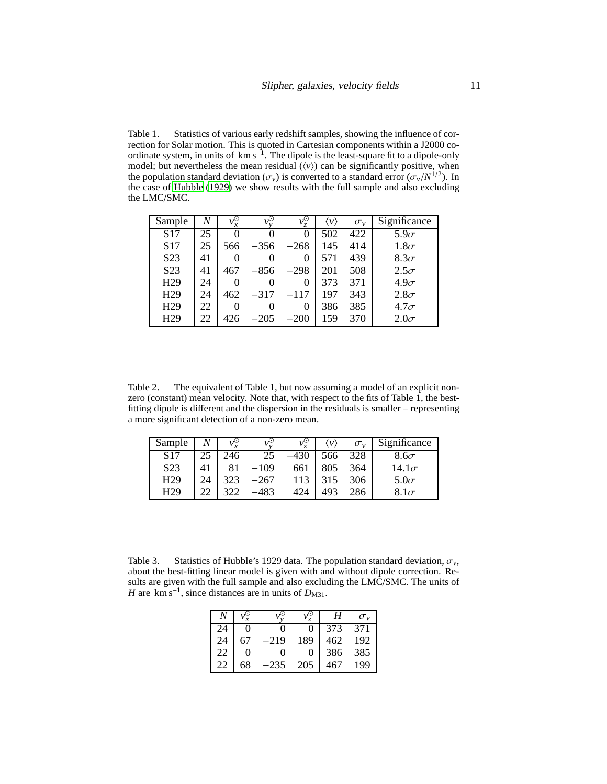Table 1. Statistics of various early redshift samples, showing the influence of correction for Solar motion. This is quoted in Cartesian components within a J2000 coordinate system, in units of  $km s^{-1}$ . The dipole is the least-square fit to a dipole-only model; but nevertheless the mean residual  $(v_i)$  can be significantly positive, when the population standard deviation  $(\sigma_{\nu})$  is converted to a standard error  $(\sigma_{\nu}/N^{1/2})$ . In the case of [Hubble \(1929\)](#page-19-0) we show results with the full sample and also excluding the LMC/SMC.

| Sample           | N  | νŸ<br>$\boldsymbol{x}$ |        | $v_z^{\odot}$ | $\langle \nu \rangle$ | $\sigma_v$ | Significance |
|------------------|----|------------------------|--------|---------------|-----------------------|------------|--------------|
| S <sub>17</sub>  | 25 |                        |        |               | 502                   | 422        | $5.9\sigma$  |
| S17              | 25 | 566                    | $-356$ | $-268$        | 145                   | 414        | $1.8\sigma$  |
| S <sub>2</sub> 3 | 41 | 0                      |        | 0             | 571                   | 439        | $8.3\sigma$  |
| S <sub>2</sub> 3 | 41 | 467                    | $-856$ | $-298$        | 201                   | 508        | $2.5\sigma$  |
| H <sub>29</sub>  | 24 | 0                      |        | 0             | 373                   | 371        | $4.9\sigma$  |
| H <sub>29</sub>  | 24 | 462                    | $-317$ | $-117$        | 197                   | 343        | $2.8\sigma$  |
| H <sub>29</sub>  | 22 | 0                      |        | 0             | 386                   | 385        | $4.7\sigma$  |
| H <sub>29</sub>  | 22 | 426                    | $-205$ | $-200$        | 159                   | 370        | $2.0\sigma$  |

Table 2. The equivalent of Table 1, but now assuming a model of an explicit nonzero (constant) mean velocity. Note that, with respect to the fits of Table 1, the bestfitting dipole is different and the dispersion in the residuals is smaller – representing a more significant detection of a non-zero mean.

| Sample           |        |     |        |     | $\mathcal{V}$ | $\sigma_{v}$ | Significance |
|------------------|--------|-----|--------|-----|---------------|--------------|--------------|
| S <sub>17</sub>  |        | 246 |        |     | 566           | 328          | $8.6\sigma$  |
| S <sub>2</sub> 3 | 41     |     | –109   | 661 | 805           | 364          | $14.1\sigma$ |
| H <sub>29</sub>  | $2\pi$ | 323 | $-267$ | 113 | 315           | 306          | $5.0\sigma$  |
| H <sub>29</sub>  |        |     | 483    | 474 | 493           |              | $8.1\sigma$  |

Table 3. Statistics of Hubble's 1929 data. The population standard deviation,  $\sigma_v$ , about the best-fitting linear model is given with and without dipole correction. Results are given with the full sample and also excluding the LMC/SMC. The units of *H* are km s<sup>−1</sup>, since distances are in units of  $D_{M31}$ .

|    |    |                   |     | Н   | $\sigma_{v}$ |
|----|----|-------------------|-----|-----|--------------|
| 74 |    |                   |     | 373 | 371          |
| 24 | 67 | $-219$            | 189 | 462 | 192          |
| 22 |    | $\mathbf{\Omega}$ |     | 386 | 385          |
| 22 | 68 | -235              | 205 |     | 199          |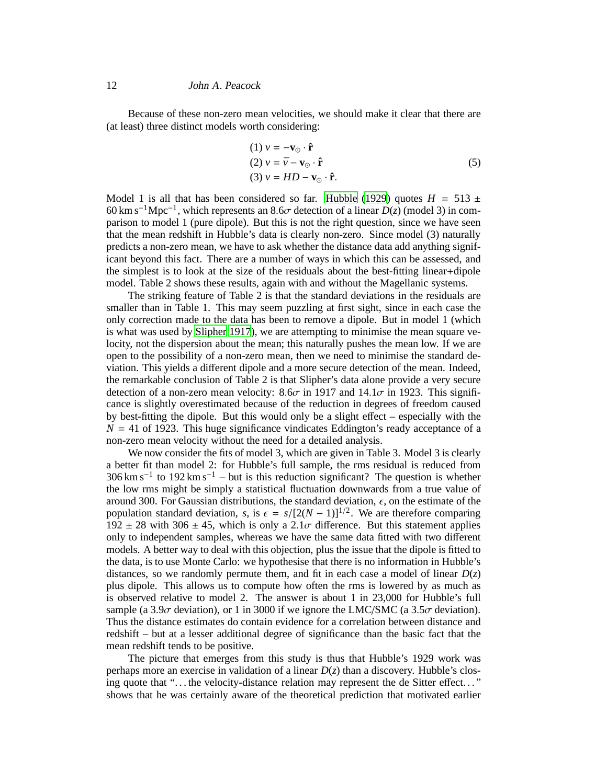Because of these non-zero mean velocities, we should make it clear that there are (at least) three distinct models worth considering:

(1) 
$$
v = -\mathbf{v}_{\odot} \cdot \hat{\mathbf{r}}
$$
  
\n(2)  $v = \bar{v} - \mathbf{v}_{\odot} \cdot \hat{\mathbf{r}}$   
\n(3)  $v = HD - \mathbf{v}_{\odot} \cdot \hat{\mathbf{r}}$ . (5)

Model 1 is all that has been considered so far. [Hubble](#page-19-0) [\(1929](#page-19-0)) quotes  $H = 513 \pm 100$ 60 km s−1Mpc−<sup>1</sup> , which represents an 8.6σ detection of a linear *D*(*z*) (model 3) in comparison to model 1 (pure dipole). But this is not the right question, since we have seen that the mean redshift in Hubble's data is clearly non-zero. Since model (3) naturally predicts a non-zero mean, we have to ask whether the distance data add anything significant beyond this fact. There are a number of ways in which this can be assessed, and the simplest is to look at the size of the residuals about the best-fitting linear+dipole model. Table 2 shows these results, again with and without the Magellanic systems.

The striking feature of Table 2 is that the standard deviations in the residuals are smaller than in Table 1. This may seem puzzling at first sight, since in each case the only correction made to the data has been to remove a dipole. But in model 1 (which is what was used by [Slipher 1917](#page-20-0)), we are attempting to minimise the mean square velocity, not the dispersion about the mean; this naturally pushes the mean low. If we are open to the possibility of a non-zero mean, then we need to minimise the standard deviation. This yields a different dipole and a more secure detection of the mean. Indeed, the remarkable conclusion of Table 2 is that Slipher's data alone provide a very secure detection of a non-zero mean velocity:  $8.6\sigma$  in 1917 and  $14.1\sigma$  in 1923. This significance is slightly overestimated because of the reduction in degrees of freedom caused by best-fitting the dipole. But this would only be a slight effect – especially with the  $N = 41$  of 1923. This huge significance vindicates Eddington's ready acceptance of a non-zero mean velocity without the need for a detailed analysis.

We now consider the fits of model 3, which are given in Table 3. Model 3 is clearly a better fit than model 2: for Hubble's full sample, the rms residual is reduced from  $306 \text{ km s}^{-1}$  to  $192 \text{ km s}^{-1}$  – but is this reduction significant? The question is whether the low rms might be simply a statistical fluctuation downwards from a true value of around 300. For Gaussian distributions, the standard deviation,  $\epsilon$ , on the estimate of the population standard deviation, *s*, is  $\epsilon = s/[2(N-1)]^{1/2}$ . We are therefore comparing  $192 \pm 28$  with  $306 \pm 45$ , which is only a  $2.1\sigma$  difference. But this statement applies only to independent samples, whereas we have the same data fitted with two different models. A better way to deal with this objection, plus the issue that the dipole is fitted to the data, is to use Monte Carlo: we hypothesise that there is no information in Hubble's distances, so we randomly permute them, and fit in each case a model of linear  $D(z)$ plus dipole. This allows us to compute how often the rms is lowered by as much as is observed relative to model 2. The answer is about 1 in 23,000 for Hubble's full sample (a 3.9 $\sigma$  deviation), or 1 in 3000 if we ignore the LMC/SMC (a 3.5 $\sigma$  deviation). Thus the distance estimates do contain evidence for a correlation between distance and redshift – but at a lesser additional degree of significance than the basic fact that the mean redshift tends to be positive.

The picture that emerges from this study is thus that Hubble's 1929 work was perhaps more an exercise in validation of a linear  $D(z)$  than a discovery. Hubble's closing quote that "... the velocity-distance relation may represent the de Sitter effect..." shows that he was certainly aware of the theoretical prediction that motivated earlier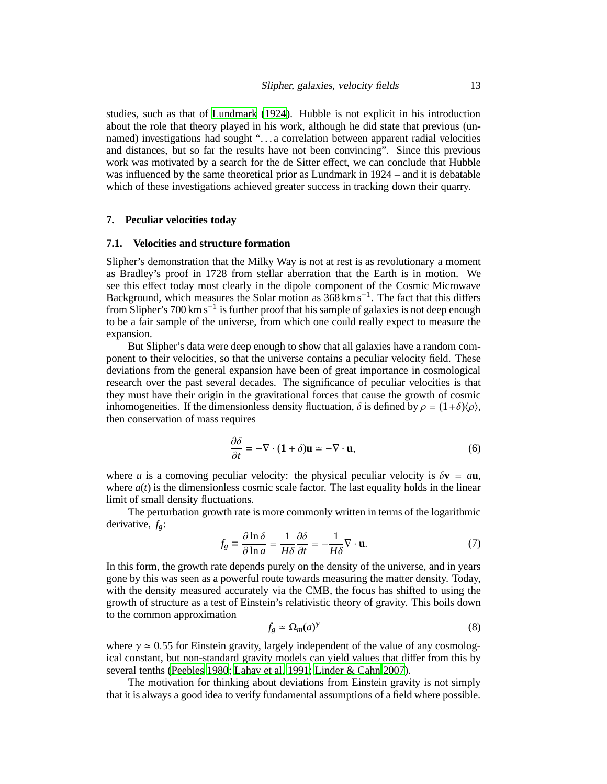studies, such as that of [Lundmark \(1924\)](#page-19-11). Hubble is not explicit in his introduction about the role that theory played in his work, although he did state that previous (unnamed) investigations had sought ". . . a correlation between apparent radial velocities and distances, but so far the results have not been convincing". Since this previous work was motivated by a search for the de Sitter effect, we can conclude that Hubble was influenced by the same theoretical prior as Lundmark in 1924 – and it is debatable which of these investigations achieved greater success in tracking down their quarry.

# **7. Peculiar velocities today**

#### **7.1. Velocities and structure formation**

Slipher's demonstration that the Milky Way is not at rest is as revolutionary a moment as Bradley's proof in 1728 from stellar aberration that the Earth is in motion. We see this effect today most clearly in the dipole component of the Cosmic Microwave Background, which measures the Solar motion as 368 km s−<sup>1</sup> . The fact that this differs from Slipher's 700 km s−<sup>1</sup> is further proof that his sample of galaxies is not deep enough to be a fair sample of the universe, from which one could really expect to measure the expansion.

But Slipher's data were deep enough to show that all galaxies have a random component to their velocities, so that the universe contains a peculiar velocity field. These deviations from the general expansion have been of great importance in cosmological research over the past several decades. The significance of peculiar velocities is that they must have their origin in the gravitational forces that cause the growth of cosmic inhomogeneities. If the dimensionless density fluctuation,  $\delta$  is defined by  $\rho = (1+\delta)/\rho$ , then conservation of mass requires

$$
\frac{\partial \delta}{\partial t} = -\nabla \cdot (\mathbf{1} + \delta) \mathbf{u} \simeq -\nabla \cdot \mathbf{u},\tag{6}
$$

where *u* is a comoving peculiar velocity: the physical peculiar velocity is  $\delta \mathbf{v} = a\mathbf{u}$ , where  $a(t)$  is the dimensionless cosmic scale factor. The last equality holds in the linear limit of small density fluctuations.

The perturbation growth rate is more commonly written in terms of the logarithmic derivative, *fg*:

$$
f_g \equiv \frac{\partial \ln \delta}{\partial \ln a} = \frac{1}{H\delta} \frac{\partial \delta}{\partial t} = -\frac{1}{H\delta} \nabla \cdot \mathbf{u}.
$$
 (7)

In this form, the growth rate depends purely on the density of the universe, and in years gone by this was seen as a powerful route towards measuring the matter density. Today, with the density measured accurately via the CMB, the focus has shifted to using the growth of structure as a test of Einstein's relativistic theory of gravity. This boils down to the common approximation

$$
f_g \simeq \Omega_m(a)^\gamma \tag{8}
$$

where  $\gamma \approx 0.55$  for Einstein gravity, largely independent of the value of any cosmological constant, but non-standard gravity models can yield values that differ from this by several tenths [\(Peebles 1980;](#page-19-16) [Lahav et al. 1991;](#page-19-17) [Linder & Cahn 2007](#page-19-18)).

The motivation for thinking about deviations from Einstein gravity is not simply that it is always a good idea to verify fundamental assumptions of a field where possible.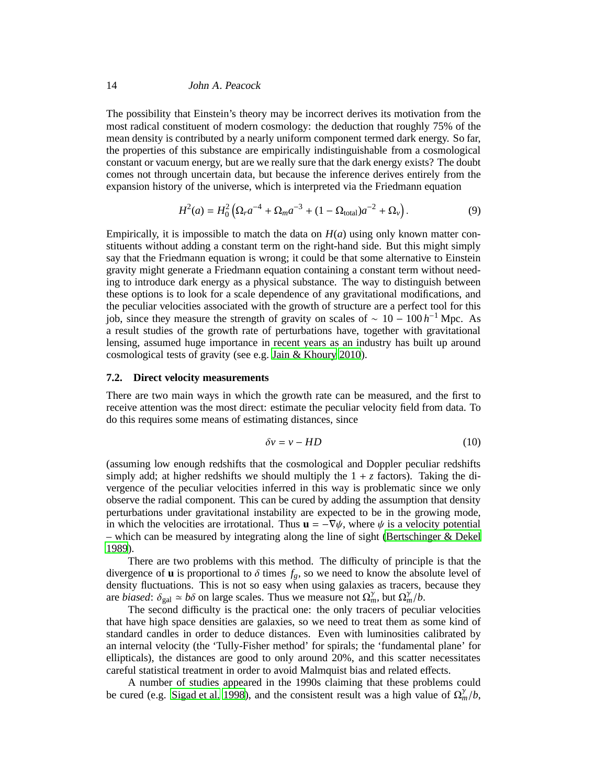The possibility that Einstein's theory may be incorrect derives its motivation from the most radical constituent of modern cosmology: the deduction that roughly 75% of the mean density is contributed by a nearly uniform component termed dark energy. So far, the properties of this substance are empirically indistinguishable from a cosmological constant or vacuum energy, but are we really sure that the dark energy exists? The doubt comes not through uncertain data, but because the inference derives entirely from the expansion history of the universe, which is interpreted via the Friedmann equation

$$
H^{2}(a) = H_{0}^{2} \left( \Omega_{r} a^{-4} + \Omega_{m} a^{-3} + (1 - \Omega_{\text{total}}) a^{-2} + \Omega_{v} \right). \tag{9}
$$

Empirically, it is impossible to match the data on  $H(a)$  using only known matter constituents without adding a constant term on the right-hand side. But this might simply say that the Friedmann equation is wrong; it could be that some alternative to Einstein gravity might generate a Friedmann equation containing a constant term without needing to introduce dark energy as a physical substance. The way to distinguish between these options is to look for a scale dependence of any gravitational modifications, and the peculiar velocities associated with the growth of structure are a perfect tool for this job, since they measure the strength of gravity on scales of ~ 10 − 100  $h^{-1}$  Mpc. As a result studies of the growth rate of perturbations have, together with gravitational lensing, assumed huge importance in recent years as an industry has built up around cosmological tests of gravity (see e.g. [Jain & Khoury 2010](#page-19-19)).

#### **7.2. Direct velocity measurements**

There are two main ways in which the growth rate can be measured, and the first to receive attention was the most direct: estimate the peculiar velocity field from data. To do this requires some means of estimating distances, since

$$
\delta v = v - HD \tag{10}
$$

(assuming low enough redshifts that the cosmological and Doppler peculiar redshifts simply add; at higher redshifts we should multiply the  $1 + z$  factors). Taking the divergence of the peculiar velocities inferred in this way is problematic since we only observe the radial component. This can be cured by adding the assumption that density perturbations under gravitational instability are expected to be in the growing mode, in which the velocities are irrotational. Thus  $\mathbf{u} = -\nabla \psi$ , where  $\psi$  is a velocity potential – which can be measured by integrating along the line of sight [\(Bertschinger & Dekel](#page-18-2) [1989](#page-18-2)).

There are two problems with this method. The difficulty of principle is that the divergence of **u** is proportional to  $\delta$  times  $f_g$ , so we need to know the absolute level of density fluctuations. This is not so easy when using galaxies as tracers, because they are *biased*:  $\delta_{gal} \simeq b\delta$  on large scales. Thus we measure not  $\Omega_m^{\gamma}$ , but  $\Omega_m^{\gamma}/b$ .

The second difficulty is the practical one: the only tracers of peculiar velocities that have high space densities are galaxies, so we need to treat them as some kind of standard candles in order to deduce distances. Even with luminosities calibrated by an internal velocity (the 'Tully-Fisher method' for spirals; the 'fundamental plane' for ellipticals), the distances are good to only around 20%, and this scatter necessitates careful statistical treatment in order to avoid Malmquist bias and related effects.

A number of studies appeared in the 1990s claiming that these problems could be cured (e.g. [Sigad et al. 1998](#page-19-20)), and the consistent result was a high value of  $\Omega_m^{\gamma}/b$ ,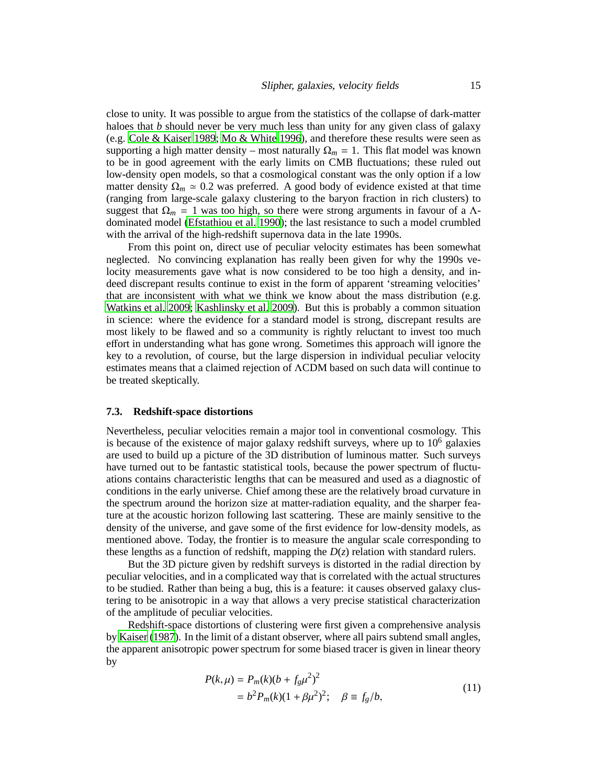close to unity. It was possible to argue from the statistics of the collapse of dark-matter haloes that *b* should never be very much less than unity for any given class of galaxy (e.g. [Cole & Kaiser 1989;](#page-18-3) [Mo & White 1996\)](#page-19-21), and therefore these results were seen as supporting a high matter density – most naturally  $\Omega_m = 1$ . This flat model was known to be in good agreement with the early limits on CMB fluctuations; these ruled out low-density open models, so that a cosmological constant was the only option if a low matter density  $\Omega_m \approx 0.2$  was preferred. A good body of evidence existed at that time (ranging from large-scale galaxy clustering to the baryon fraction in rich clusters) to suggest that  $\Omega_m = 1$  was too high, so there were strong arguments in favour of a  $\Lambda$ dominated model [\(Efstathiou et al. 1990](#page-19-22)); the last resistance to such a model crumbled with the arrival of the high-redshift supernova data in the late 1990s.

From this point on, direct use of peculiar velocity estimates has been somewhat neglected. No convincing explanation has really been given for why the 1990s velocity measurements gave what is now considered to be too high a density, and indeed discrepant results continue to exist in the form of apparent 'streaming velocities' that are inconsistent with what we think we know about the mass distribution (e.g. [Watkins et al. 2009;](#page-20-10) [Kashlinsky et al. 2009](#page-19-23)). But this is probably a common situation in science: where the evidence for a standard model is strong, discrepant results are most likely to be flawed and so a community is rightly reluctant to invest too much effort in understanding what has gone wrong. Sometimes this approach will ignore the key to a revolution, of course, but the large dispersion in individual peculiar velocity estimates means that a claimed rejection of ΛCDM based on such data will continue to be treated skeptically.

#### **7.3. Redshift-space distortions**

Nevertheless, peculiar velocities remain a major tool in conventional cosmology. This is because of the existence of major galaxy redshift surveys, where up to  $10^6$  galaxies are used to build up a picture of the 3D distribution of luminous matter. Such surveys have turned out to be fantastic statistical tools, because the power spectrum of fluctuations contains characteristic lengths that can be measured and used as a diagnostic of conditions in the early universe. Chief among these are the relatively broad curvature in the spectrum around the horizon size at matter-radiation equality, and the sharper feature at the acoustic horizon following last scattering. These are mainly sensitive to the density of the universe, and gave some of the first evidence for low-density models, as mentioned above. Today, the frontier is to measure the angular scale corresponding to these lengths as a function of redshift, mapping the  $D(z)$  relation with standard rulers.

But the 3D picture given by redshift surveys is distorted in the radial direction by peculiar velocities, and in a complicated way that is correlated with the actual structures to be studied. Rather than being a bug, this is a feature: it causes observed galaxy clustering to be anisotropic in a way that allows a very precise statistical characterization of the amplitude of peculiar velocities.

Redshift-space distortions of clustering were first given a comprehensive analysis by [Kaiser](#page-19-24) [\(1987](#page-19-24)). In the limit of a distant observer, where all pairs subtend small angles, the apparent anisotropic power spectrum for some biased tracer is given in linear theory by

$$
P(k,\mu) = P_m(k)(b + f_g\mu^2)^2
$$
  
=  $b^2 P_m(k)(1 + \beta\mu^2)^2$ ;  $\beta \equiv f_g/b$ , (11)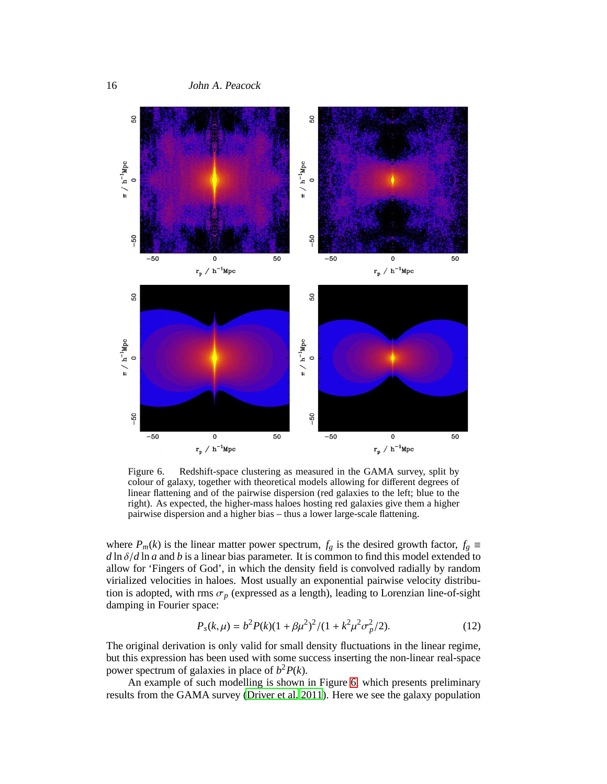

<span id="page-15-0"></span>Figure 6. Redshift-space clustering as measured in the GAMA survey, split by colour of galaxy, together with theoretical models allowing for different degrees of linear flattening and of the pairwise dispersion (red galaxies to the left; blue to the right). As expected, the higher-mass haloes hosting red galaxies give them a higher pairwise dispersion and a higher bias – thus a lower large-scale flattening.

where  $P_m(k)$  is the linear matter power spectrum,  $f_g$  is the desired growth factor,  $f_g \equiv$ *d* ln δ/*d* ln *a* and *b* is a linear bias parameter. It is common to find this model extended to allow for 'Fingers of God', in which the density field is convolved radially by random virialized velocities in haloes. Most usually an exponential pairwise velocity distribution is adopted, with rms  $\sigma_p$  (expressed as a length), leading to Lorenzian line-of-sight damping in Fourier space:

$$
P_s(k,\mu) = b^2 P(k)(1 + \beta \mu^2)^2 / (1 + k^2 \mu^2 \sigma_p^2 / 2).
$$
 (12)

The original derivation is only valid for small density fluctuations in the linear regime, but this expression has been used with some success inserting the non-linear real-space power spectrum of galaxies in place of  $b^2 P(k)$ .

An example of such modelling is shown in Figure [6,](#page-15-0) which presents preliminary results from the GAMA survey [\(Driver et al. 2011](#page-18-4)). Here we see the galaxy population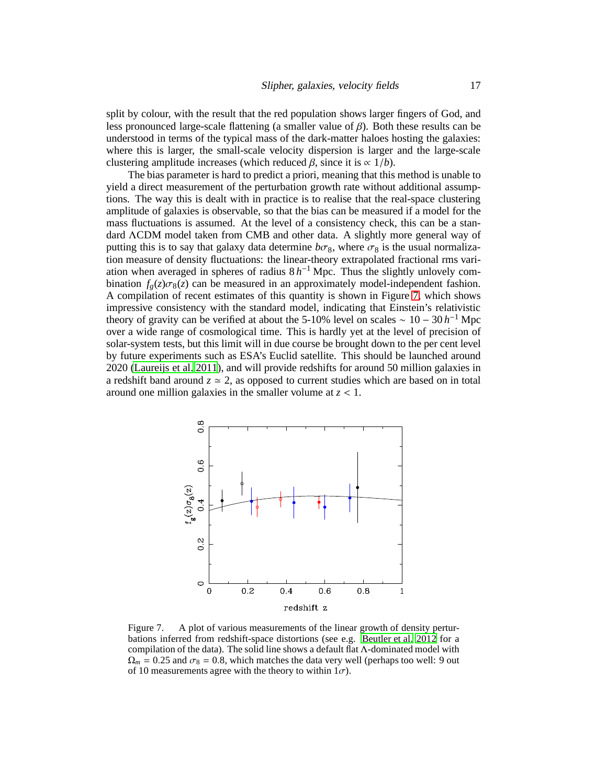split by colour, with the result that the red population shows larger fingers of God, and less pronounced large-scale flattening (a smaller value of  $\beta$ ). Both these results can be understood in terms of the typical mass of the dark-matter haloes hosting the galaxies: where this is larger, the small-scale velocity dispersion is larger and the large-scale clustering amplitude increases (which reduced  $\beta$ , since it is  $\propto 1/b$ ).

The bias parameter is hard to predict a priori, meaning that this method is unable to yield a direct measurement of the perturbation growth rate without additional assumptions. The way this is dealt with in practice is to realise that the real-space clustering amplitude of galaxies is observable, so that the bias can be measured if a model for the mass fluctuations is assumed. At the level of a consistency check, this can be a standard ΛCDM model taken from CMB and other data. A slightly more general way of putting this is to say that galaxy data determine  $b\sigma_8$ , where  $\sigma_8$  is the usual normalization measure of density fluctuations: the linear-theory extrapolated fractional rms variation when averaged in spheres of radius  $8 h^{-1}$  Mpc. Thus the slightly unlovely combination  $f_{\rho}(z)\sigma_8(z)$  can be measured in an approximately model-independent fashion. A compilation of recent estimates of this quantity is shown in Figure [7,](#page-16-0) which shows impressive consistency with the standard model, indicating that Einstein's relativistic theory of gravity can be verified at about the 5-10% level on scales  $\sim 10 - 30 h^{-1}$  Mpc over a wide range of cosmological time. This is hardly yet at the level of precision of solar-system tests, but this limit will in due course be brought down to the per cent level by future experiments such as ESA's Euclid satellite. This should be launched around 2020 [\(Laureijs et al. 2011](#page-19-25)), and will provide redshifts for around 50 million galaxies in a redshift band around  $z \approx 2$ , as opposed to current studies which are based on in total around one million galaxies in the smaller volume at  $z < 1$ .



<span id="page-16-0"></span>Figure 7. A plot of various measurements of the linear growth of density perturbations inferred from redshift-space distortions (see e.g. [Beutler et al. 2012](#page-18-5) for a compilation of the data). The solid line shows a default flat Λ-dominated model with  $\Omega_m = 0.25$  and  $\sigma_8 = 0.8$ , which matches the data very well (perhaps too well: 9 out of 10 measurements agree with the theory to within  $1\sigma$ ).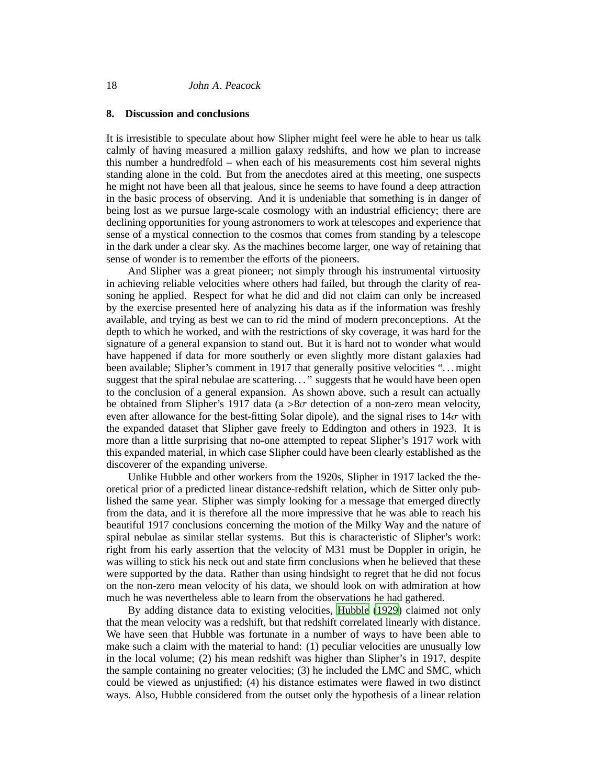### **8. Discussion and conclusions**

It is irresistible to speculate about how Slipher might feel were he able to hear us talk calmly of having measured a million galaxy redshifts, and how we plan to increase this number a hundredfold – when each of his measurements cost him several nights standing alone in the cold. But from the anecdotes aired at this meeting, one suspects he might not have been all that jealous, since he seems to have found a deep attraction in the basic process of observing. And it is undeniable that something is in danger of being lost as we pursue large-scale cosmology with an industrial efficiency; there are declining opportunities for young astronomers to work at telescopes and experience that sense of a mystical connection to the cosmos that comes from standing by a telescope in the dark under a clear sky. As the machines become larger, one way of retaining that sense of wonder is to remember the efforts of the pioneers.

And Slipher was a great pioneer; not simply through his instrumental virtuosity in achieving reliable velocities where others had failed, but through the clarity of reasoning he applied. Respect for what he did and did not claim can only be increased by the exercise presented here of analyzing his data as if the information was freshly available, and trying as best we can to rid the mind of modern preconceptions. At the depth to which he worked, and with the restrictions of sky coverage, it was hard for the signature of a general expansion to stand out. But it is hard not to wonder what would have happened if data for more southerly or even slightly more distant galaxies had been available; Slipher's comment in 1917 that generally positive velocities "... might suggest that the spiral nebulae are scattering. . . " suggests that he would have been open to the conclusion of a general expansion. As shown above, such a result can actually be obtained from Slipher's 1917 data (a  $>8\sigma$  detection of a non-zero mean velocity, even after allowance for the best-fitting Solar dipole), and the signal rises to  $14\sigma$  with the expanded dataset that Slipher gave freely to Eddington and others in 1923. It is more than a little surprising that no-one attempted to repeat Slipher's 1917 work with this expanded material, in which case Slipher could have been clearly established as the discoverer of the expanding universe.

Unlike Hubble and other workers from the 1920s, Slipher in 1917 lacked the theoretical prior of a predicted linear distance-redshift relation, which de Sitter only published the same year. Slipher was simply looking for a message that emerged directly from the data, and it is therefore all the more impressive that he was able to reach his beautiful 1917 conclusions concerning the motion of the Milky Way and the nature of spiral nebulae as similar stellar systems. But this is characteristic of Slipher's work: right from his early assertion that the velocity of M31 must be Doppler in origin, he was willing to stick his neck out and state firm conclusions when he believed that these were supported by the data. Rather than using hindsight to regret that he did not focus on the non-zero mean velocity of his data, we should look on with admiration at how much he was nevertheless able to learn from the observations he had gathered.

By adding distance data to existing velocities, [Hubble \(1929](#page-19-0)) claimed not only that the mean velocity was a redshift, but that redshift correlated linearly with distance. We have seen that Hubble was fortunate in a number of ways to have been able to make such a claim with the material to hand: (1) peculiar velocities are unusually low in the local volume; (2) his mean redshift was higher than Slipher's in 1917, despite the sample containing no greater velocities; (3) he included the LMC and SMC, which could be viewed as unjustified; (4) his distance estimates were flawed in two distinct ways. Also, Hubble considered from the outset only the hypothesis of a linear relation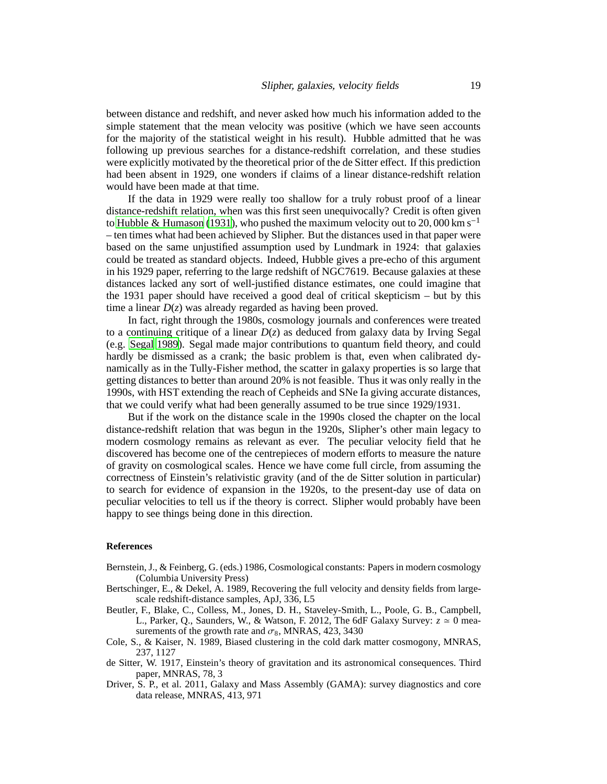between distance and redshift, and never asked how much his information added to the simple statement that the mean velocity was positive (which we have seen accounts for the majority of the statistical weight in his result). Hubble admitted that he was following up previous searches for a distance-redshift correlation, and these studies were explicitly motivated by the theoretical prior of the de Sitter effect. If this prediction had been absent in 1929, one wonders if claims of a linear distance-redshift relation would have been made at that time.

If the data in 1929 were really too shallow for a truly robust proof of a linear distance-redshift relation, when was this first seen unequivocally? Credit is often given to [Hubble & Humason](#page-19-26) [\(1931](#page-19-26)), who pushed the maximum velocity out to 20,000 km s<sup>−1</sup> – ten times what had been achieved by Slipher. But the distances used in that paper were based on the same unjustified assumption used by Lundmark in 1924: that galaxies could be treated as standard objects. Indeed, Hubble gives a pre-echo of this argument in his 1929 paper, referring to the large redshift of NGC7619. Because galaxies at these distances lacked any sort of well-justified distance estimates, one could imagine that the 1931 paper should have received a good deal of critical skepticism – but by this time a linear  $D(z)$  was already regarded as having been proved.

In fact, right through the 1980s, cosmology journals and conferences were treated to a continuing critique of a linear  $D(z)$  as deduced from galaxy data by Irving Segal (e.g. [Segal 1989](#page-19-27)). Segal made major contributions to quantum field theory, and could hardly be dismissed as a crank; the basic problem is that, even when calibrated dynamically as in the Tully-Fisher method, the scatter in galaxy properties is so large that getting distances to better than around 20% is not feasible. Thus it was only really in the 1990s, with HST extending the reach of Cepheids and SNe Ia giving accurate distances, that we could verify what had been generally assumed to be true since 1929/1931.

But if the work on the distance scale in the 1990s closed the chapter on the local distance-redshift relation that was begun in the 1920s, Slipher's other main legacy to modern cosmology remains as relevant as ever. The peculiar velocity field that he discovered has become one of the centrepieces of modern efforts to measure the nature of gravity on cosmological scales. Hence we have come full circle, from assuming the correctness of Einstein's relativistic gravity (and of the de Sitter solution in particular) to search for evidence of expansion in the 1920s, to the present-day use of data on peculiar velocities to tell us if the theory is correct. Slipher would probably have been happy to see things being done in this direction.

#### **References**

- <span id="page-18-0"></span>Bernstein, J., & Feinberg, G. (eds.) 1986, Cosmological constants: Papers in modern cosmology (Columbia University Press)
- <span id="page-18-2"></span>Bertschinger, E., & Dekel, A. 1989, Recovering the full velocity and density fields from largescale redshift-distance samples, ApJ, 336, L5
- <span id="page-18-5"></span>Beutler, F., Blake, C., Colless, M., Jones, D. H., Staveley-Smith, L., Poole, G. B., Campbell, L., Parker, Q., Saunders, W., & Watson, F. 2012, The 6dF Galaxy Survey:  $z \approx 0$  measurements of the growth rate and  $\sigma_8$ , MNRAS, 423, 3430
- <span id="page-18-3"></span>Cole, S., & Kaiser, N. 1989, Biased clustering in the cold dark matter cosmogony, MNRAS, 237, 1127
- <span id="page-18-1"></span>de Sitter, W. 1917, Einstein's theory of gravitation and its astronomical consequences. Third paper, MNRAS, 78, 3
- <span id="page-18-4"></span>Driver, S. P., et al. 2011, Galaxy and Mass Assembly (GAMA): survey diagnostics and core data release, MNRAS, 413, 971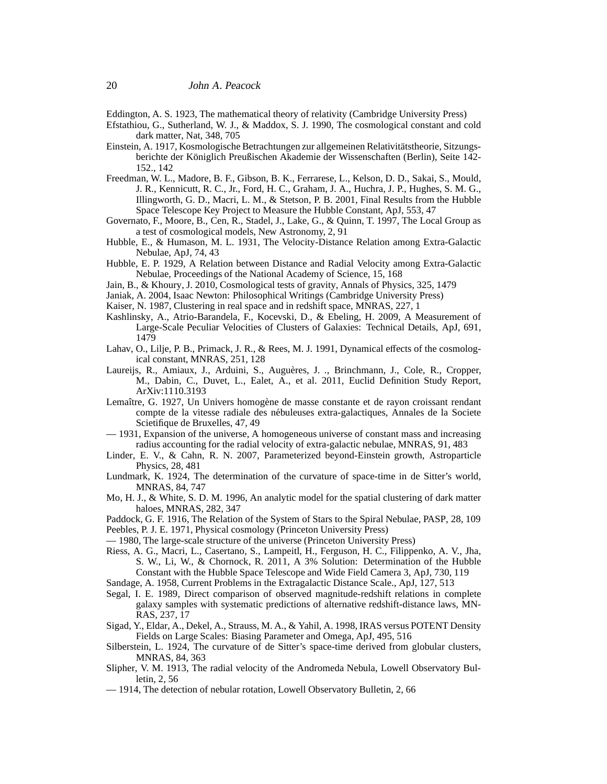<span id="page-19-5"></span>Eddington, A. S. 1923, The mathematical theory of relativity (Cambridge University Press)

- <span id="page-19-22"></span>Efstathiou, G., Sutherland, W. J., & Maddox, S. J. 1990, The cosmological constant and cold dark matter, Nat, 348, 705
- <span id="page-19-6"></span>Einstein, A. 1917, Kosmologische Betrachtungen zur allgemeinen Relativitätstheorie, Sitzungsberichte der Königlich Preußischen Akademie der Wissenschaften (Berlin), Seite 142-152., 142
- <span id="page-19-12"></span>Freedman, W. L., Madore, B. F., Gibson, B. K., Ferrarese, L., Kelson, D. D., Sakai, S., Mould, J. R., Kennicutt, R. C., Jr., Ford, H. C., Graham, J. A., Huchra, J. P., Hughes, S. M. G., Illingworth, G. D., Macri, L. M., & Stetson, P. B. 2001, Final Results from the Hubble Space Telescope Key Project to Measure the Hubble Constant, ApJ, 553, 47
- <span id="page-19-14"></span>Governato, F., Moore, B., Cen, R., Stadel, J., Lake, G., & Quinn, T. 1997, The Local Group as a test of cosmological models, New Astronomy, 2, 91
- <span id="page-19-26"></span>Hubble, E., & Humason, M. L. 1931, The Velocity-Distance Relation among Extra-Galactic Nebulae, ApJ, 74, 43
- <span id="page-19-0"></span>Hubble, E. P. 1929, A Relation between Distance and Radial Velocity among Extra-Galactic Nebulae, Proceedings of the National Academy of Science, 15, 168
- <span id="page-19-19"></span>Jain, B., & Khoury, J. 2010, Cosmological tests of gravity, Annals of Physics, 325, 1479
- <span id="page-19-7"></span>Janiak, A. 2004, Isaac Newton: Philosophical Writings (Cambridge University Press)
- <span id="page-19-24"></span>Kaiser, N. 1987, Clustering in real space and in redshift space, MNRAS, 227, 1
- <span id="page-19-23"></span>Kashlinsky, A., Atrio-Barandela, F., Kocevski, D., & Ebeling, H. 2009, A Measurement of Large-Scale Peculiar Velocities of Clusters of Galaxies: Technical Details, ApJ, 691, 1479
- <span id="page-19-17"></span>Lahav, O., Lilje, P. B., Primack, J. R., & Rees, M. J. 1991, Dynamical effects of the cosmological constant, MNRAS, 251, 128
- <span id="page-19-25"></span>Laureijs, R., Amiaux, J., Arduini, S., Auguères, J. ., Brinchmann, J., Cole, R., Cropper, M., Dabin, C., Duvet, L., Ealet, A., et al. 2011, Euclid Definition Study Report, ArXiv:1110.3193
- <span id="page-19-9"></span>Lemaître, G. 1927, Un Univers homogène de masse constante et de rayon croissant rendant compte de la vitesse radiale des n´ebuleuses extra-galactiques, Annales de la Societe Scietifique de Bruxelles, 47, 49
- <span id="page-19-10"></span>— 1931, Expansion of the universe, A homogeneous universe of constant mass and increasing radius accounting for the radial velocity of extra-galactic nebulae, MNRAS, 91, 483
- <span id="page-19-18"></span>Linder, E. V., & Cahn, R. N. 2007, Parameterized beyond-Einstein growth, Astroparticle Physics, 28, 481
- <span id="page-19-11"></span>Lundmark, K. 1924, The determination of the curvature of space-time in de Sitter's world, MNRAS, 84, 747
- <span id="page-19-21"></span>Mo, H. J., & White, S. D. M. 1996, An analytic model for the spatial clustering of dark matter haloes, MNRAS, 282, 347
- <span id="page-19-4"></span><span id="page-19-1"></span>Paddock, G. F. 1916, The Relation of the System of Stars to the Spiral Nebulae, PASP, 28, 109 Peebles, P. J. E. 1971, Physical cosmology (Princeton University Press)
- <span id="page-19-16"></span>— 1980, The large-scale structure of the universe (Princeton University Press)
- <span id="page-19-13"></span>Riess, A. G., Macri, L., Casertano, S., Lampeitl, H., Ferguson, H. C., Filippenko, A. V., Jha, S. W., Li, W., & Chornock, R. 2011, A 3% Solution: Determination of the Hubble Constant with the Hubble Space Telescope and Wide Field Camera 3, ApJ, 730, 119
- <span id="page-19-15"></span>Sandage, A. 1958, Current Problems in the Extragalactic Distance Scale., ApJ, 127, 513
- <span id="page-19-27"></span>Segal, I. E. 1989, Direct comparison of observed magnitude-redshift relations in complete galaxy samples with systematic predictions of alternative redshift-distance laws, MN-RAS, 237, 17
- <span id="page-19-20"></span>Sigad, Y., Eldar, A., Dekel, A., Strauss, M. A., & Yahil, A. 1998, IRAS versus POTENT Density Fields on Large Scales: Biasing Parameter and Omega, ApJ, 495, 516
- <span id="page-19-8"></span>Silberstein, L. 1924, The curvature of de Sitter's space-time derived from globular clusters, MNRAS, 84, 363
- <span id="page-19-2"></span>Slipher, V. M. 1913, The radial velocity of the Andromeda Nebula, Lowell Observatory Bulletin, 2, 56
- <span id="page-19-3"></span>— 1914, The detection of nebular rotation, Lowell Observatory Bulletin, 2, 66